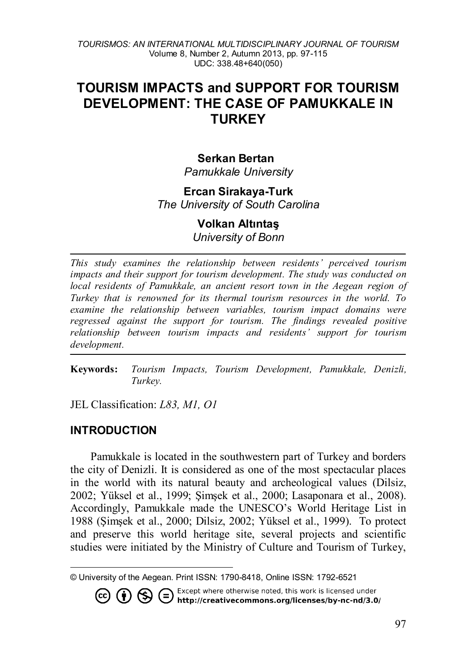# **TOURISM IMPACTS and SUPPORT FOR TOURISM DEVELOPMENT: THE CASE OF PAMUKKALE IN TURKEY**

### **Serkan Bertan**

*Pamukkale University*

#### **Ercan Sirakaya-Turk**

*The University of South Carolina*

# **Volkan Altıntaş**

*University of Bonn*

*This study examines the relationship between residents' perceived tourism impacts and their support for tourism development. The study was conducted on local residents of Pamukkale, an ancient resort town in the Aegean region of Turkey that is renowned for its thermal tourism resources in the world. To examine the relationship between variables, tourism impact domains were regressed against the support for tourism. The findings revealed positive relationship between tourism impacts and residents' support for tourism development.* 

**Keywords:** *Tourism Impacts, Tourism Development, Pamukkale, Denizli, Turkey.*

JEL Classification: *L83, M1, O1*

### **INTRODUCTION**

 $\overline{a}$ 

Pamukkale is located in the southwestern part of Turkey and borders the city of Denizli. It is considered as one of the most spectacular places in the world with its natural beauty and archeological values (Dilsiz, 2002; Yüksel et al., 1999; Şimşek et al., 2000; Lasaponara et al., 2008). Accordingly, Pamukkale made the UNESCO's World Heritage List in 1988 (Şimşek et al., 2000; Dilsiz, 2002; Yüksel et al., 1999). To protect and preserve this world heritage site, several projects and scientific studies were initiated by the Ministry of Culture and Tourism of Turkey,

. Except where otherwise noted, this work is licensed under CO CO S Except where otherwise noted, this work is licensed under<br>http://creativecommons.org/licenses/by-nc-nd/3.0/

<span id="page-0-0"></span><sup>©</sup> University of the Aegean. Print ISSN: 1790-8418, Online ISSN: 1792-6521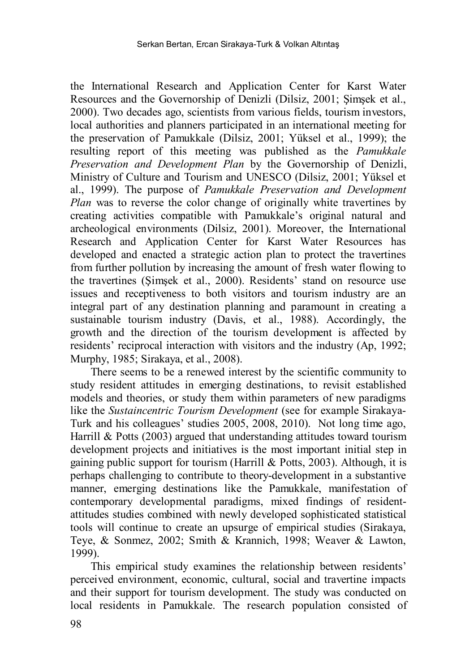the International Research and Application Center for Karst Water Resources and the Governorship of Denizli (Dilsiz, 2001; Şimşek et al., 2000). Two decades ago, scientists from various fields, tourism investors, local authorities and planners participated in an international meeting for the preservation of Pamukkale (Dilsiz, 2001; Yüksel et al., 1999); the resulting report of this meeting was published as the *Pamukkale Preservation and Development Plan* by the Governorship of Denizli, Ministry of Culture and Tourism and UNESCO (Dilsiz, 2001; Yüksel et al., 1999). The purpose of *Pamukkale Preservation and Development Plan* was to reverse the color change of originally white travertines by creating activities compatible with Pamukkale's original natural and archeological environments (Dilsiz, 2001). Moreover, the International Research and Application Center for Karst Water Resources has developed and enacted a strategic action plan to protect the travertines from further pollution by increasing the amount of fresh water flowing to the travertines (Şimşek et al., 2000). Residents' stand on resource use issues and receptiveness to both visitors and tourism industry are an integral part of any destination planning and paramount in creating a sustainable tourism industry (Davis, et al., 1988). Accordingly, the growth and the direction of the tourism development is affected by residents' reciprocal interaction with visitors and the industry (Ap, 1992; Murphy, 1985; Sirakaya, et al., 2008).

There seems to be a renewed interest by the scientific community to study resident attitudes in emerging destinations, to revisit established models and theories, or study them within parameters of new paradigms like the *Sustaincentric Tourism Development* (see for example Sirakaya-Turk and his colleagues' studies 2005, 2008, 2010). Not long time ago, Harrill & Potts (2003) argued that understanding attitudes toward tourism development projects and initiatives is the most important initial step in gaining public support for tourism (Harrill & Potts, 2003). Although, it is perhaps challenging to contribute to theory-development in a substantive manner, emerging destinations like the Pamukkale, manifestation of contemporary developmental paradigms, mixed findings of residentattitudes studies combined with newly developed sophisticated statistical tools will continue to create an upsurge of empirical studies (Sirakaya, Teye, & Sonmez, 2002; Smith & Krannich, 1998; Weaver & Lawton, 1999).

This empirical study examines the relationship between residents' perceived environment, economic, cultural, social and travertine impacts and their support for tourism development. The study was conducted on local residents in Pamukkale. The research population consisted of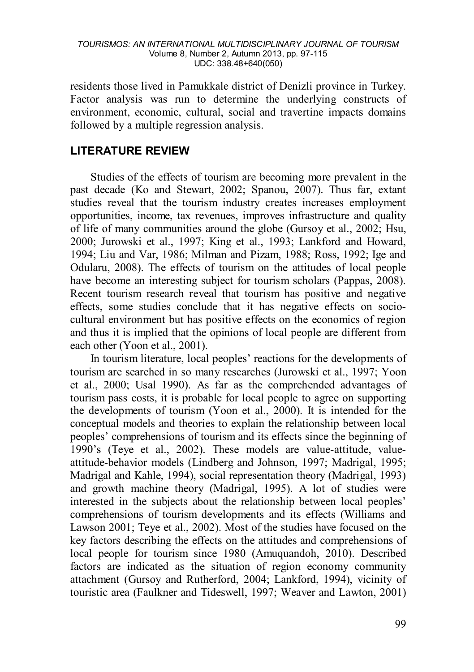residents those lived in Pamukkale district of Denizli province in Turkey. Factor analysis was run to determine the underlying constructs of environment, economic, cultural, social and travertine impacts domains followed by a multiple regression analysis.

### **LITERATURE REVIEW**

Studies of the effects of tourism are becoming more prevalent in the past decade (Ko and Stewart, 2002; Spanou, 2007). Thus far, extant studies reveal that the tourism industry creates increases employment opportunities, income, tax revenues, improves infrastructure and quality of life of many communities around the globe (Gursoy et al., 2002; Hsu, 2000; Jurowski et al., 1997; King et al., 1993; Lankford and Howard, 1994; Liu and Var, 1986; Milman and Pizam, 1988; Ross, 1992; Ige and Odularu, 2008). The effects of tourism on the attitudes of local people have become an interesting subject for tourism scholars (Pappas, 2008). Recent tourism research reveal that tourism has positive and negative effects, some studies conclude that it has negative effects on sociocultural environment but has positive effects on the economics of region and thus it is implied that the opinions of local people are different from each other (Yoon et al., 2001).

In tourism literature, local peoples' reactions for the developments of tourism are searched in so many researches (Jurowski et al., 1997; Yoon et al., 2000; Usal 1990). As far as the comprehended advantages of tourism pass costs, it is probable for local people to agree on supporting the developments of tourism (Yoon et al., 2000). It is intended for the conceptual models and theories to explain the relationship between local peoples' comprehensions of tourism and its effects since the beginning of 1990's (Teye et al., 2002). These models are value-attitude, valueattitude-behavior models (Lindberg and Johnson, 1997; Madrigal, 1995; Madrigal and Kahle, 1994), social representation theory (Madrigal, 1993) and growth machine theory (Madrigal, 1995). A lot of studies were interested in the subjects about the relationship between local peoples' comprehensions of tourism developments and its effects (Williams and Lawson 2001; Teye et al., 2002). Most of the studies have focused on the key factors describing the effects on the attitudes and comprehensions of local people for tourism since 1980 (Amuquandoh, 2010). Described factors are indicated as the situation of region economy community attachment (Gursoy and Rutherford, 2004; Lankford, 1994), vicinity of touristic area (Faulkner and Tideswell, 1997; Weaver and Lawton, 2001)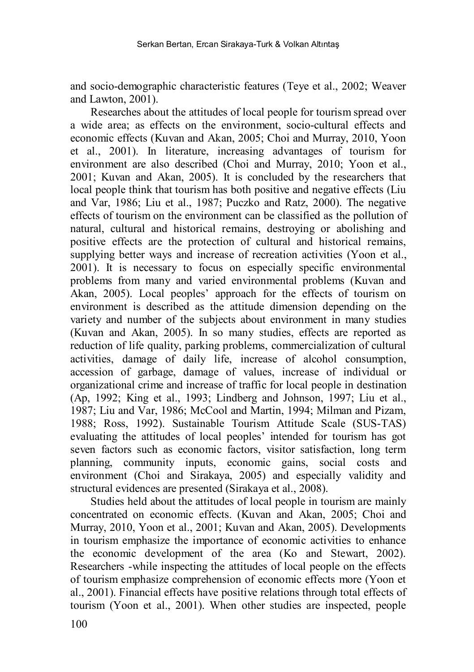and socio-demographic characteristic features (Teye et al., 2002; Weaver and Lawton, 2001).

Researches about the attitudes of local people for tourism spread over a wide area; as effects on the environment, socio-cultural effects and economic effects (Kuvan and Akan, 2005; Choi and Murray, 2010, Yoon et al., 2001). In literature, increasing advantages of tourism for environment are also described (Choi and Murray, 2010; Yoon et al., 2001; Kuvan and Akan, 2005). It is concluded by the researchers that local people think that tourism has both positive and negative effects (Liu and Var, 1986; Liu et al., 1987; Puczko and Ratz, 2000). The negative effects of tourism on the environment can be classified as the pollution of natural, cultural and historical remains, destroying or abolishing and positive effects are the protection of cultural and historical remains, supplying better ways and increase of recreation activities (Yoon et al., 2001). It is necessary to focus on especially specific environmental problems from many and varied environmental problems (Kuvan and Akan, 2005). Local peoples' approach for the effects of tourism on environment is described as the attitude dimension depending on the variety and number of the subjects about environment in many studies (Kuvan and Akan, 2005). In so many studies, effects are reported as reduction of life quality, parking problems, commercialization of cultural activities, damage of daily life, increase of alcohol consumption, accession of garbage, damage of values, increase of individual or organizational crime and increase of traffic for local people in destination (Ap, 1992; King et al., 1993; Lindberg and Johnson, 1997; Liu et al., 1987; Liu and Var, 1986; McCool and Martin, 1994; Milman and Pizam, 1988; Ross, 1992). Sustainable Tourism Attitude Scale (SUS-TAS) evaluating the attitudes of local peoples' intended for tourism has got seven factors such as economic factors, visitor satisfaction, long term planning, community inputs, economic gains, social costs and environment (Choi and Sirakaya, 2005) and especially validity and structural evidences are presented (Sirakaya et al., 2008).

Studies held about the attitudes of local people in tourism are mainly concentrated on economic effects. (Kuvan and Akan, 2005; Choi and Murray, 2010, Yoon et al., 2001; Kuvan and Akan, 2005). Developments in tourism emphasize the importance of economic activities to enhance the economic development of the area (Ko and Stewart, 2002). Researchers -while inspecting the attitudes of local people on the effects of tourism emphasize comprehension of economic effects more (Yoon et al., 2001). Financial effects have positive relations through total effects of tourism (Yoon et al., 2001). When other studies are inspected, people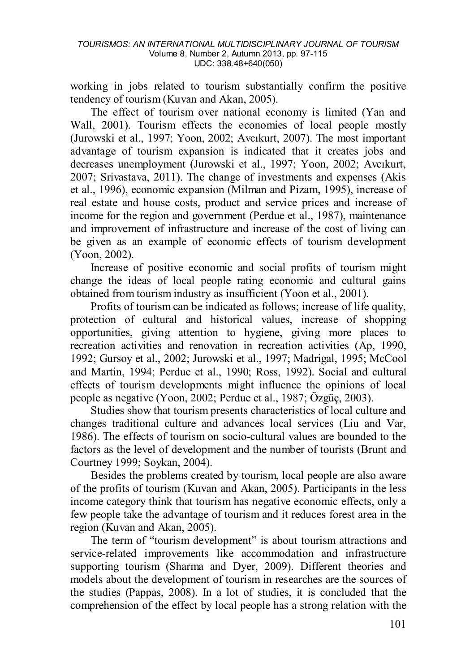working in jobs related to tourism substantially confirm the positive tendency of tourism (Kuvan and Akan, 2005).

The effect of tourism over national economy is limited (Yan and Wall, 2001). Tourism effects the economies of local people mostly (Jurowski et al., 1997; Yoon, 2002; Avcıkurt, 2007). The most important advantage of tourism expansion is indicated that it creates jobs and decreases unemployment (Jurowski et al., 1997; Yoon, 2002; Avcıkurt, 2007; Srivastava, 2011). The change of investments and expenses (Akis et al., 1996), economic expansion (Milman and Pizam, 1995), increase of real estate and house costs, product and service prices and increase of income for the region and government (Perdue et al., 1987), maintenance and improvement of infrastructure and increase of the cost of living can be given as an example of economic effects of tourism development (Yoon, 2002).

Increase of positive economic and social profits of tourism might change the ideas of local people rating economic and cultural gains obtained from tourism industry as insufficient (Yoon et al., 2001).

Profits of tourism can be indicated as follows: increase of life quality, protection of cultural and historical values, increase of shopping opportunities, giving attention to hygiene, giving more places to recreation activities and renovation in recreation activities (Ap, 1990, 1992; Gursoy et al., 2002; Jurowski et al., 1997; Madrigal, 1995; McCool and Martin, 1994; Perdue et al., 1990; Ross, 1992). Social and cultural effects of tourism developments might influence the opinions of local people as negative (Yoon, 2002; Perdue et al., 1987; Özgüç, 2003).

Studies show that tourism presents characteristics of local culture and changes traditional culture and advances local services (Liu and Var, 1986). The effects of tourism on socio-cultural values are bounded to the factors as the level of development and the number of tourists (Brunt and Courtney 1999; Soykan, 2004).

Besides the problems created by tourism, local people are also aware of the profits of tourism (Kuvan and Akan, 2005). Participants in the less income category think that tourism has negative economic effects, only a few people take the advantage of tourism and it reduces forest area in the region (Kuvan and Akan, 2005).

The term of "tourism development" is about tourism attractions and service-related improvements like accommodation and infrastructure supporting tourism (Sharma and Dyer, 2009). Different theories and models about the development of tourism in researches are the sources of the studies (Pappas, 2008). In a lot of studies, it is concluded that the comprehension of the effect by local people has a strong relation with the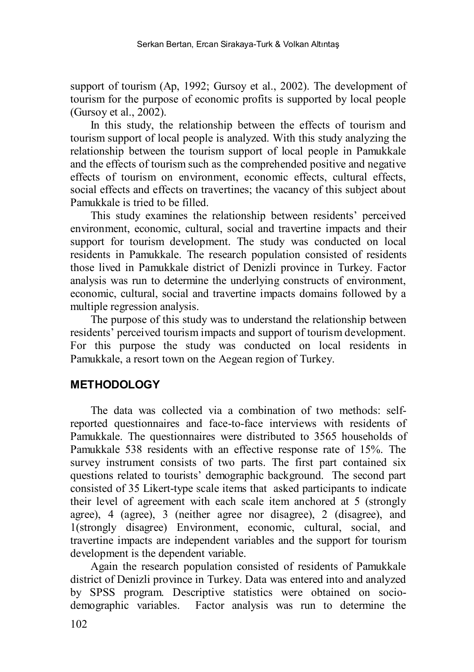support of tourism (Ap, 1992; Gursoy et al., 2002). The development of tourism for the purpose of economic profits is supported by local people (Gursoy et al., 2002).

In this study, the relationship between the effects of tourism and tourism support of local people is analyzed. With this study analyzing the relationship between the tourism support of local people in Pamukkale and the effects of tourism such as the comprehended positive and negative effects of tourism on environment, economic effects, cultural effects, social effects and effects on travertines; the vacancy of this subject about Pamukkale is tried to be filled.

This study examines the relationship between residents' perceived environment, economic, cultural, social and travertine impacts and their support for tourism development. The study was conducted on local residents in Pamukkale. The research population consisted of residents those lived in Pamukkale district of Denizli province in Turkey. Factor analysis was run to determine the underlying constructs of environment, economic, cultural, social and travertine impacts domains followed by a multiple regression analysis.

The purpose of this study was to understand the relationship between residents' perceived tourism impacts and support of tourism development. For this purpose the study was conducted on local residents in Pamukkale, a resort town on the Aegean region of Turkey.

# **METHODOLOGY**

The data was collected via a combination of two methods: selfreported questionnaires and face-to-face interviews with residents of Pamukkale. The questionnaires were distributed to 3565 households of Pamukkale 538 residents with an effective response rate of 15%. The survey instrument consists of two parts. The first part contained six questions related to tourists' demographic background. The second part consisted of 35 Likert-type scale items that asked participants to indicate their level of agreement with each scale item anchored at 5 (strongly agree), 4 (agree), 3 (neither agree nor disagree), 2 (disagree), and 1(strongly disagree) Environment, economic, cultural, social, and travertine impacts are independent variables and the support for tourism development is the dependent variable.

Again the research population consisted of residents of Pamukkale district of Denizli province in Turkey. Data was entered into and analyzed by SPSS program. Descriptive statistics were obtained on sociodemographic variables. Factor analysis was run to determine the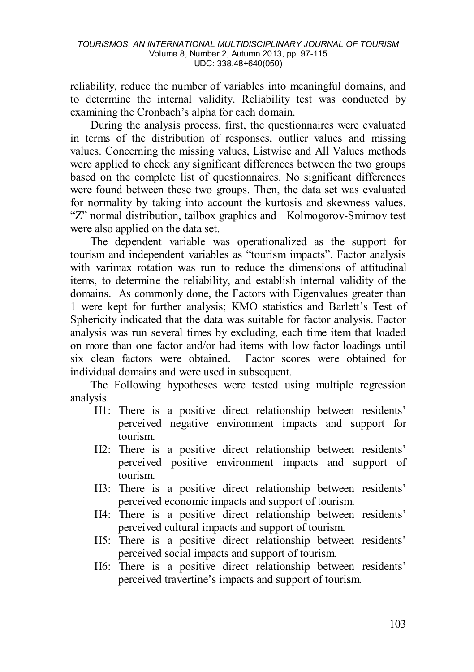reliability, reduce the number of variables into meaningful domains, and to determine the internal validity. Reliability test was conducted by examining the Cronbach's alpha for each domain.

During the analysis process, first, the questionnaires were evaluated in terms of the distribution of responses, outlier values and missing values. Concerning the missing values, Listwise and All Values methods were applied to check any significant differences between the two groups based on the complete list of questionnaires. No significant differences were found between these two groups. Then, the data set was evaluated for normality by taking into account the kurtosis and skewness values. "Z" normal distribution, tailbox graphics and Kolmogorov-Smirnov test were also applied on the data set.

The dependent variable was operationalized as the support for tourism and independent variables as "tourism impacts". Factor analysis with varimax rotation was run to reduce the dimensions of attitudinal items, to determine the reliability, and establish internal validity of the domains. As commonly done, the Factors with Eigenvalues greater than 1 were kept for further analysis; KMO statistics and Barlett's Test of Sphericity indicated that the data was suitable for factor analysis. Factor analysis was run several times by excluding, each time item that loaded on more than one factor and/or had items with low factor loadings until six clean factors were obtained. Factor scores were obtained for individual domains and were used in subsequent.

The Following hypotheses were tested using multiple regression analysis.

- H1: There is a positive direct relationship between residents' perceived negative environment impacts and support for tourism.
- H2: There is a positive direct relationship between residents' perceived positive environment impacts and support of tourism.
- H3: There is a positive direct relationship between residents' perceived economic impacts and support of tourism.
- H4: There is a positive direct relationship between residents' perceived cultural impacts and support of tourism.
- H5: There is a positive direct relationship between residents' perceived social impacts and support of tourism.
- H6: There is a positive direct relationship between residents' perceived travertine's impacts and support of tourism.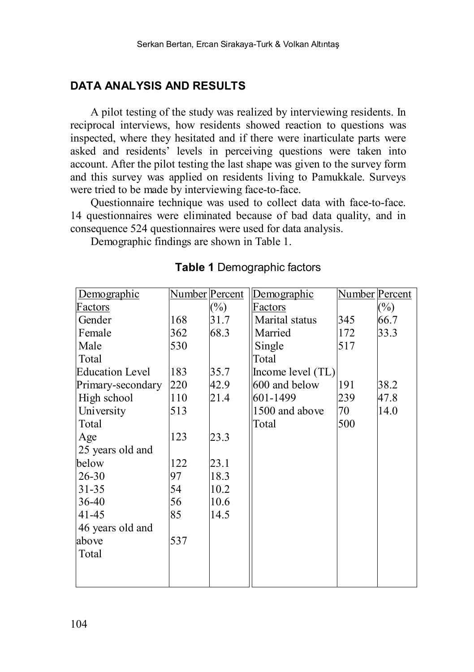# **DATA ANALYSIS AND RESULTS**

A pilot testing of the study was realized by interviewing residents. In reciprocal interviews, how residents showed reaction to questions was inspected, where they hesitated and if there were inarticulate parts were asked and residents' levels in perceiving questions were taken into account. After the pilot testing the last shape was given to the survey form and this survey was applied on residents living to Pamukkale. Surveys were tried to be made by interviewing face-to-face.

Questionnaire technique was used to collect data with face-to-face. 14 questionnaires were eliminated because of bad data quality, and in consequence 524 questionnaires were used for data analysis.

Demographic findings are shown in Table 1.

| Demographic            | Number Percent |        | Demographic       | Number Percent |        |
|------------------------|----------------|--------|-------------------|----------------|--------|
| Factors                |                | $(\%)$ | Factors           |                | $(\%)$ |
| Gender                 | 168            | 31.7   | Marital status    | 345            | 66.7   |
| Female                 | 362            | 68.3   | Married           | 172            | 33.3   |
| Male                   | 530            |        | Single            | 517            |        |
| Total                  |                |        | Total             |                |        |
| <b>Education Level</b> | 183            | 35.7   | Income level (TL) |                |        |
| Primary-secondary      | 220            | 42.9   | 600 and below     | 191            | 38.2   |
| High school            | 110            | 21.4   | 601-1499          | 239            | 47.8   |
| University             | 513            |        | 1500 and above    | 70             | 14.0   |
| Total                  |                |        | Total             | 500            |        |
| Age                    | 123            | 23.3   |                   |                |        |
| 25 years old and       |                |        |                   |                |        |
| below                  | 122            | 23.1   |                   |                |        |
| $26 - 30$              | 97             | 18.3   |                   |                |        |
| $31 - 35$              | 54             | 10.2   |                   |                |        |
| 36-40                  | 56             | 10.6   |                   |                |        |
| 41-45                  | 85             | 14.5   |                   |                |        |
| 46 years old and       |                |        |                   |                |        |
| above                  | 537            |        |                   |                |        |
| Total                  |                |        |                   |                |        |
|                        |                |        |                   |                |        |
|                        |                |        |                   |                |        |

### **Table 1** Demographic factors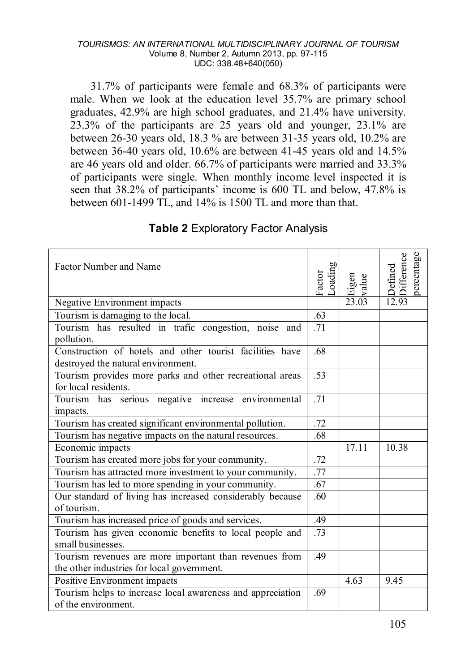31.7% of participants were female and 68.3% of participants were male. When we look at the education level 35.7% are primary school graduates, 42.9% are high school graduates, and 21.4% have university. 23.3% of the participants are 25 years old and younger, 23.1% are between 26-30 years old, 18.3 % are between 31-35 years old, 10.2% are between 36-40 years old, 10.6% are between 41-45 years old and 14.5% are 46 years old and older. 66.7% of participants were married and 33.3% of participants were single. When monthly income level inspected it is seen that 38.2% of participants' income is 600 TL and below, 47.8% is between 601-1499 TL, and 14% is 1500 TL and more than that.

| Factor Number and Name                                                           | Loading<br>Factor | Eigen<br>value | percentage<br>Difference<br>Defined |
|----------------------------------------------------------------------------------|-------------------|----------------|-------------------------------------|
| Negative Environment impacts                                                     |                   | 23.03          | 12.93                               |
| Tourism is damaging to the local.                                                | .63               |                |                                     |
| Tourism has resulted in trafic congestion, noise and<br>pollution.               | .71               |                |                                     |
| Construction of hotels and other tourist facilities have                         |                   |                |                                     |
| destroyed the natural environment.                                               |                   |                |                                     |
| Tourism provides more parks and other recreational areas<br>for local residents. | .53               |                |                                     |
| Tourism has serious negative increase environmental<br>impacts.                  | .71               |                |                                     |
| Tourism has created significant environmental pollution.                         | .72               |                |                                     |
| Tourism has negative impacts on the natural resources.                           |                   |                |                                     |
| Economic impacts                                                                 |                   | 17.11          | 10.38                               |
| Tourism has created more jobs for your community.                                | .72               |                |                                     |
| Tourism has attracted more investment to your community.                         | $\overline{.77}$  |                |                                     |
| Tourism has led to more spending in your community.                              |                   |                |                                     |
| Our standard of living has increased considerably because<br>of tourism.         | .60               |                |                                     |
| Tourism has increased price of goods and services.                               | .49               |                |                                     |
| Tourism has given economic benefits to local people and                          |                   |                |                                     |
| small businesses.                                                                |                   |                |                                     |
| Tourism revenues are more important than revenues from                           |                   |                |                                     |
| the other industries for local government.                                       |                   |                |                                     |
| Positive Environment impacts                                                     |                   | 4.63           | 9.45                                |
| Tourism helps to increase local awareness and appreciation                       | .69               |                |                                     |
| of the environment.                                                              |                   |                |                                     |

# **Table 2** Exploratory Factor Analysis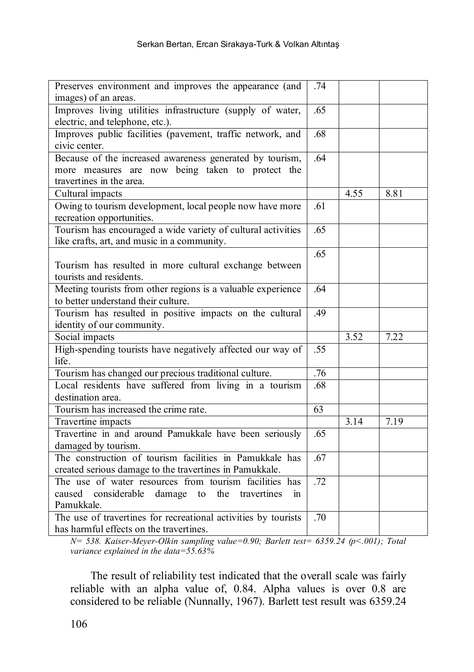| Preserves environment and improves the appearance (and                                                                                   |     |      |      |
|------------------------------------------------------------------------------------------------------------------------------------------|-----|------|------|
| images) of an areas.                                                                                                                     |     |      |      |
| Improves living utilities infrastructure (supply of water,<br>electric, and telephone, etc.).                                            | .65 |      |      |
| Improves public facilities (pavement, traffic network, and<br>civic center.                                                              | .68 |      |      |
| Because of the increased awareness generated by tourism,<br>more measures are now being taken to protect the<br>travertines in the area. | .64 |      |      |
| Cultural impacts                                                                                                                         |     | 4.55 | 8.81 |
| Owing to tourism development, local people now have more<br>recreation opportunities.                                                    | .61 |      |      |
| Tourism has encouraged a wide variety of cultural activities<br>like crafts, art, and music in a community.                              | .65 |      |      |
| Tourism has resulted in more cultural exchange between<br>tourists and residents.                                                        | .65 |      |      |
| Meeting tourists from other regions is a valuable experience<br>to better understand their culture.                                      | .64 |      |      |
| Tourism has resulted in positive impacts on the cultural<br>identity of our community.                                                   | .49 |      |      |
| Social impacts                                                                                                                           |     | 3.52 | 7.22 |
| High-spending tourists have negatively affected our way of<br>life.                                                                      | .55 |      |      |
| Tourism has changed our precious traditional culture.                                                                                    | .76 |      |      |
| Local residents have suffered from living in a tourism<br>destination area.                                                              | .68 |      |      |
| Tourism has increased the crime rate.                                                                                                    | 63  |      |      |
| Travertine impacts                                                                                                                       |     | 3.14 | 7.19 |
| Travertine in and around Pamukkale have been seriously<br>damaged by tourism.                                                            | .65 |      |      |
| The construction of tourism facilities in Pamukkale has<br>created serious damage to the travertines in Pamukkale.                       | .67 |      |      |
| The use of water resources from tourism facilities has<br>caused considerable damage to the travertines<br>$\sin$<br>Pamukkale.          | .72 |      |      |
| The use of travertines for recreational activities by tourists<br>has harmful effects on the travertines.                                | .70 |      |      |

*N= 538. Kaiser-Meyer-Olkin sampling value=0.90; Barlett test= 6359.24 (p<.001); Total variance explained in the data=55.63%*

The result of reliability test indicated that the overall scale was fairly reliable with an alpha value of, 0.84. Alpha values is over 0.8 are considered to be reliable (Nunnally, 1967). Barlett test result was 6359.24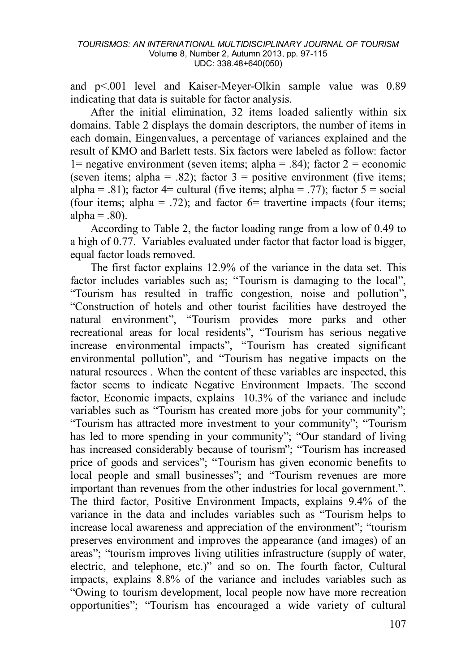and p<.001 level and Kaiser-Meyer-Olkin sample value was 0.89 indicating that data is suitable for factor analysis.

After the initial elimination, 32 items loaded saliently within six domains. Table 2 displays the domain descriptors, the number of items in each domain, Eingenvalues, a percentage of variances explained and the result of KMO and Barlett tests. Six factors were labeled as follow: factor 1= negative environment (seven items; alpha = .84); factor  $2 =$  economic (seven items; alpha = .82); factor  $3 =$  positive environment (five items; alpha = .81); factor 4= cultural (five items; alpha = .77); factor  $5 = \text{social}$ (four items; alpha = .72); and factor  $6=$  travertine impacts (four items; alpha  $= .80$ ).

According to Table 2, the factor loading range from a low of 0.49 to a high of 0.77. Variables evaluated under factor that factor load is bigger, equal factor loads removed.

The first factor explains 12.9% of the variance in the data set. This factor includes variables such as; "Tourism is damaging to the local", "Tourism has resulted in traffic congestion, noise and pollution", "Construction of hotels and other tourist facilities have destroyed the natural environment", "Tourism provides more parks and other recreational areas for local residents", "Tourism has serious negative increase environmental impacts", "Tourism has created significant environmental pollution", and "Tourism has negative impacts on the natural resources . When the content of these variables are inspected, this factor seems to indicate Negative Environment Impacts. The second factor, Economic impacts, explains 10.3% of the variance and include variables such as "Tourism has created more jobs for your community"; "Tourism has attracted more investment to your community"; "Tourism has led to more spending in your community"; "Our standard of living has increased considerably because of tourism"; "Tourism has increased price of goods and services"; "Tourism has given economic benefits to local people and small businesses"; and "Tourism revenues are more important than revenues from the other industries for local government.". The third factor, Positive Environment Impacts, explains 9.4% of the variance in the data and includes variables such as "Tourism helps to increase local awareness and appreciation of the environment"; "tourism preserves environment and improves the appearance (and images) of an areas"; "tourism improves living utilities infrastructure (supply of water, electric, and telephone, etc.)" and so on. The fourth factor, Cultural impacts, explains 8.8% of the variance and includes variables such as "Owing to tourism development, local people now have more recreation opportunities"; "Tourism has encouraged a wide variety of cultural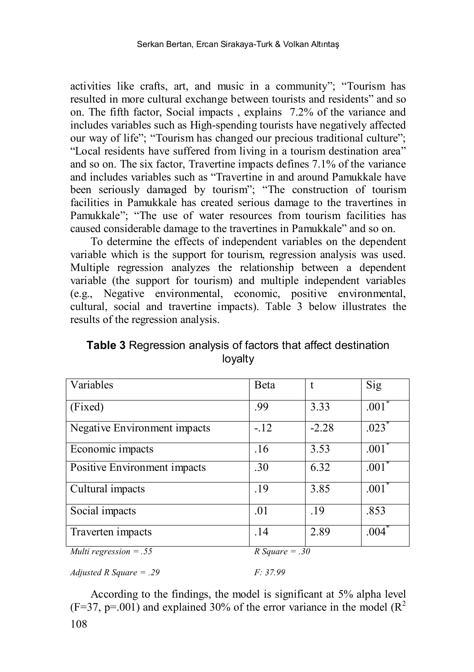activities like crafts, art, and music in a community"; "Tourism has resulted in more cultural exchange between tourists and residents" and so on. The fifth factor, Social impacts , explains 7.2% of the variance and includes variables such as High-spending tourists have negatively affected our way of life"; "Tourism has changed our precious traditional culture"; "Local residents have suffered from living in a tourism destination area" and so on. The six factor, Travertine impacts defines 7.1% of the variance and includes variables such as "Travertine in and around Pamukkale have been seriously damaged by tourism"; "The construction of tourism facilities in Pamukkale has created serious damage to the travertines in Pamukkale"; "The use of water resources from tourism facilities has caused considerable damage to the travertines in Pamukkale" and so on.

To determine the effects of independent variables on the dependent variable which is the support for tourism, regression analysis was used. Multiple regression analyzes the relationship between a dependent variable (the support for tourism) and multiple independent variables (e.g., Negative environmental, economic, positive environmental, cultural, social and travertine impacts). Table 3 below illustrates the results of the regression analysis.

**Table 3** Regression analysis of factors that affect destination loyalty

| Variables                    | <b>B</b> eta     | t       | Sig                 |
|------------------------------|------------------|---------|---------------------|
| (Fixed)                      | .99              | 3.33    | $.001*$             |
| Negative Environment impacts | $-12$            | $-2.28$ | $.023$ <sup>*</sup> |
| Economic impacts             | .16              | 3.53    | $.001$ <sup>*</sup> |
| Positive Environment impacts | .30              | 6.32    | $.001$ <sup>*</sup> |
| Cultural impacts             | .19              | 3.85    | $.001$ <sup>*</sup> |
| Social impacts               | .01              | .19     | .853                |
| Traverten impacts            | .14              | 2.89    | $.004*$             |
| Multi regression $=.55$      | R Square $= .30$ |         |                     |

*Adjusted R Square = .29 F: 37.99*

108 According to the findings, the model is significant at 5% alpha level  $(F=37, p=.001)$  and explained 30% of the error variance in the model  $(R^2)$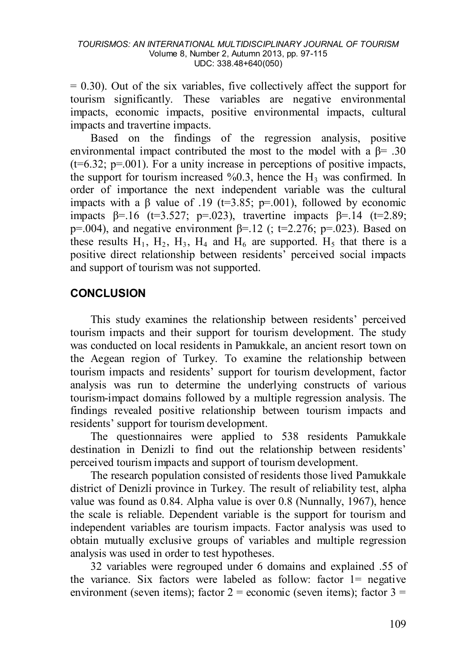$= 0.30$ ). Out of the six variables, five collectively affect the support for tourism significantly. These variables are negative environmental impacts, economic impacts, positive environmental impacts, cultural impacts and travertine impacts.

Based on the findings of the regression analysis, positive environmental impact contributed the most to the model with a  $\beta$ = .30  $(t=6.32; p=.001)$ . For a unity increase in perceptions of positive impacts, the support for tourism increased  $\%0.3$ , hence the H<sub>3</sub> was confirmed. In order of importance the next independent variable was the cultural impacts with a  $\beta$  value of .19 (t=3.85; p=.001), followed by economic impacts  $\beta = 16$  (t=3.527; p=.023), travertine impacts  $\beta = 14$  (t=2.89; p=.004), and negative environment  $\beta$ =.12 (; t=2.276; p=.023). Based on these results  $H_1$ ,  $H_2$ ,  $H_3$ ,  $H_4$  and  $H_6$  are supported.  $H_5$  that there is a positive direct relationship between residents' perceived social impacts and support of tourism was not supported.

# **CONCLUSION**

This study examines the relationship between residents' perceived tourism impacts and their support for tourism development. The study was conducted on local residents in Pamukkale, an ancient resort town on the Aegean region of Turkey. To examine the relationship between tourism impacts and residents' support for tourism development, factor analysis was run to determine the underlying constructs of various tourism-impact domains followed by a multiple regression analysis. The findings revealed positive relationship between tourism impacts and residents' support for tourism development.

The questionnaires were applied to 538 residents Pamukkale destination in Denizli to find out the relationship between residents' perceived tourism impacts and support of tourism development.

The research population consisted of residents those lived Pamukkale district of Denizli province in Turkey. The result of reliability test, alpha value was found as 0.84. Alpha value is over 0.8 (Nunnally, 1967), hence the scale is reliable. Dependent variable is the support for tourism and independent variables are tourism impacts. Factor analysis was used to obtain mutually exclusive groups of variables and multiple regression analysis was used in order to test hypotheses.

32 variables were regrouped under 6 domains and explained .55 of the variance. Six factors were labeled as follow: factor 1= negative environment (seven items); factor  $2 =$  economic (seven items); factor  $3 =$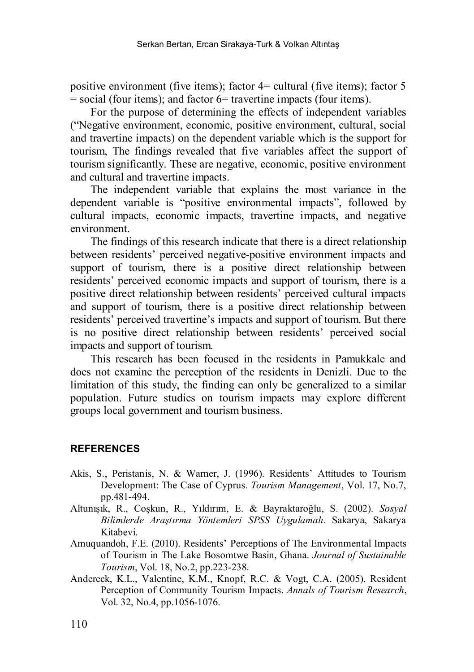positive environment (five items); factor 4= cultural (five items); factor 5 = social (four items); and factor 6= travertine impacts (four items).

For the purpose of determining the effects of independent variables ("Negative environment, economic, positive environment, cultural, social and travertine impacts) on the dependent variable which is the support for tourism, The findings revealed that five variables affect the support of tourism significantly. These are negative, economic, positive environment and cultural and travertine impacts.

The independent variable that explains the most variance in the dependent variable is "positive environmental impacts", followed by cultural impacts, economic impacts, travertine impacts, and negative environment.

The findings of this research indicate that there is a direct relationship between residents' perceived negative-positive environment impacts and support of tourism, there is a positive direct relationship between residents' perceived economic impacts and support of tourism, there is a positive direct relationship between residents' perceived cultural impacts and support of tourism, there is a positive direct relationship between residents' perceived travertine's impacts and support of tourism. But there is no positive direct relationship between residents' perceived social impacts and support of tourism.

This research has been focused in the residents in Pamukkale and does not examine the perception of the residents in Denizli. Due to the limitation of this study, the finding can only be generalized to a similar population. Future studies on tourism impacts may explore different groups local government and tourism business.

### **REFERENCES**

- Akis, S., Peristanis, N. & Warner, J. (1996). Residents' Attitudes to Tourism Development: The Case of Cyprus. *Tourism Management*, Vol. 17, No.7, pp.481-494.
- Altunışık, R., Coşkun, R., Yıldırım, E. & Bayraktaroğlu, S. (2002). *Sosyal Bilimlerde Araştırma Yöntemleri SPSS Uygulamalı*. Sakarya, Sakarya Kitabevi.
- Amuquandoh, F.E. (2010). Residents' Perceptions of The Environmental Impacts of Tourism in The Lake Bosomtwe Basin, Ghana. *Journal of Sustainable Tourism*, Vol. 18, No.2, pp.223-238.
- Andereck, K.L., Valentine, K.M., Knopf, R.C. & Vogt, C.A. (2005). Resident Perception of Community Tourism Impacts. *Annals of Tourism Research*, Vol.  $32$ , No. 4, pp. 1056-1076.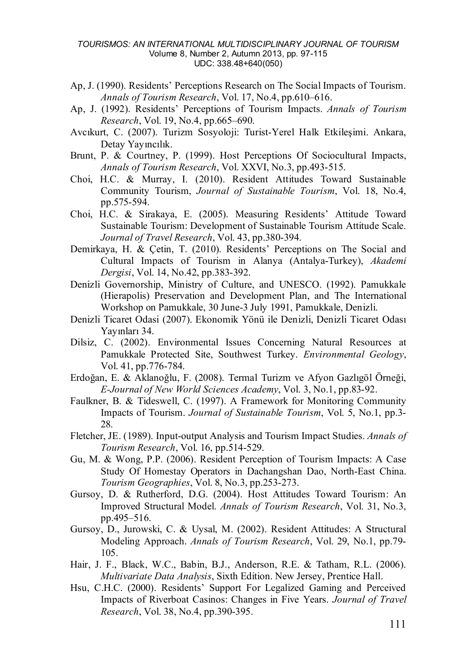- Ap, J. (1990). Residents' Perceptions Research on The Social Impacts of Tourism. *Annals of Tourism Research*, Vol. 17, No.4, pp.610–616.
- Ap, J. (1992). Residents' Perceptions of Tourism Impacts. *Annals of Tourism Research*, Vol. 19, No.4, pp.665–690.
- Avcıkurt, C. (2007). Turizm Sosyoloji: Turist-Yerel Halk Etkileşimi. Ankara, Detay Yayıncılık.
- Brunt, P. & Courtney, P. (1999). Host Perceptions Of Sociocultural Impacts, *Annals of Tourism Research*, Vol. XXVI, No.3, pp.493-515.
- Choi, H.C. & Murray, I. (2010). Resident Attitudes Toward Sustainable Community Tourism, *Journal of Sustainable Tourism*, Vol. 18, No.4, pp.575-594.
- Choi, H.C. & Sirakaya, E. (2005). Measuring Residents' Attitude Toward Sustainable Tourism: Development of Sustainable Tourism Attitude Scale. *Journal of Travel Research*, Vol. 43, pp.380-394.
- Demirkaya, H. & Çetin, T. (2010). Residents' Perceptions on The Social and Cultural Impacts of Tourism in Alanya (Antalya-Turkey), *Akademi Dergisi*, Vol. 14, No.42, pp.383-392.
- Denizli Governorship, Ministry of Culture, and UNESCO. (1992). Pamukkale (Hierapolis) Preservation and Development Plan, and The International Workshop on Pamukkale, 30 June-3 July 1991, Pamukkale, Denizli.
- Denizli Ticaret Odasi (2007). Ekonomik Yönü ile Denizli, Denizli Ticaret Odası Yayınları 34.
- Dilsiz, C. (2002). Environmental Issues Concerning Natural Resources at Pamukkale Protected Site, Southwest Turkey. *Environmental Geology*, Vol. 41, pp.776-784.
- Erdoğan, E. & Aklanoğlu, F. (2008). Termal Turizm ve Afyon Gazlıgöl Örneği, *E-Journal of New World Sciences Academy*, Vol. 3, No.1, pp.83-92.
- Faulkner, B. & Tideswell, C. (1997). A Framework for Monitoring Community Impacts of Tourism. *Journal of Sustainable Tourism*, Vol. 5, No.1, pp.3- 28.
- Fletcher, JE. (1989). Input-output Analysis and Tourism Impact Studies. *Annals of Tourism Research*, Vol. 16, pp.514-529.
- Gu, M. & Wong, P.P. (2006). Resident Perception of Tourism Impacts: A Case Study Of Homestay Operators in Dachangshan Dao, North-East China. *Tourism Geographies*, Vol. 8, No.3, pp.253-273.
- Gursoy, D. & Rutherford, D.G. (2004). Host Attitudes Toward Tourism: An Improved Structural Model. *Annals of Tourism Research*, Vol. 31, No.3, pp.495–516.
- Gursoy, D., Jurowski, C. & Uysal, M. (2002). Resident Attitudes: A Structural Modeling Approach. *Annals of Tourism Research*, Vol. 29, No.1, pp.79- 105.
- Hair, J. F., Black, W.C., Babin, B.J., Anderson, R.E. & Tatham, R.L. (2006). *Multivariate Data Analysis*, Sixth Edition. New Jersey, Prentice Hall.
- Hsu, C.H.C. (2000). Residents' Support For Legalized Gaming and Perceived Impacts of Riverboat Casinos: Changes in Five Years. *Journal of Travel Research*, Vol. 38, No.4, pp.390-395.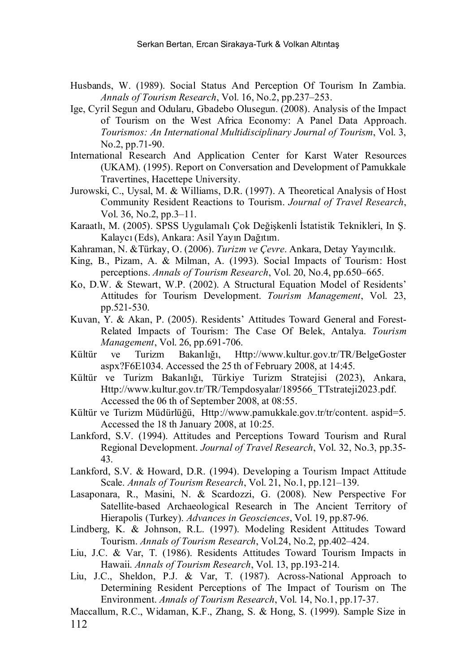- Husbands, W. (1989). Social Status And Perception Of Tourism In Zambia. *Annals of Tourism Research*, Vol. 16, No.2, pp.237–253.
- Ige, Cyril Segun and Odularu, Gbadebo Olusegun. (2008). Analysis of the Impact of Tourism on the West Africa Economy: A Panel Data Approach. *Tourismos: An International Multidisciplinary Journal of Tourism*, Vol. 3, No.2, pp.71-90.
- International Research And Application Center for Karst Water Resources (UKAM). (1995). Report on Conversation and Development of Pamukkale Travertines, Hacettepe University.
- Jurowski, C., Uysal, M. & Williams, D.R. (1997). A Theoretical Analysis of Host Community Resident Reactions to Tourism. *Journal of Travel Research*, Vol. 36, No.2, pp.3–11.
- Karaatlı, M. (2005). SPSS Uygulamalı Çok Değişkenli İstatistik Teknikleri, In Ş. Kalaycı (Eds), Ankara: Asil Yayın Dağıtım.
- Kahraman, N. &Türkay, O. (2006). *Turizm ve Çevre*. Ankara, Detay Yayıncılık.
- King, B., Pizam, A. & Milman, A. (1993). Social Impacts of Tourism: Host perceptions. *Annals of Tourism Research*, Vol. 20, No.4, pp.650–665.
- Ko, D.W. & Stewart, W.P. (2002). A Structural Equation Model of Residents' Attitudes for Tourism Development. *Tourism Management*, Vol. 23, pp.521-530.
- Kuvan, Y. & Akan, P. (2005). Residents' Attitudes Toward General and Forest-Related Impacts of Tourism: The Case Of Belek, Antalya. *Tourism Management*, Vol. 26, pp.691-706.
- Kültür ve Turizm Bakanlığı, Http://[www.kultur.gov.tr/TR/BelgeGoster](http://www.kultur.gov.tr/TR/BelgeGoster.aspx?F6E1034)  [aspx?F6E1034.](http://www.kultur.gov.tr/TR/BelgeGoster.aspx?F6E1034) Accessed the 25 th of February 2008, at 14:45.
- Kültür ve Turizm Bakanlığı, Türkiye Turizm Stratejisi (2023), Ankara, Http://www.kultur.gov.tr/TR/Tempdosyalar/189566\_TTstrateji2023.pdf. Accessed the 06 th of September 2008, at 08:55.
- Kültür ve Turizm Müdürlüğü, Http://www.pamukkale.gov.tr/tr/content. aspid=5. Accessed the 18 th January 2008, at 10:25.
- Lankford, S.V. (1994). Attitudes and Perceptions Toward Tourism and Rural Regional Development. *Journal of Travel Research*, Vol. 32, No.3, pp.35- 43.
- Lankford, S.V. & Howard, D.R. (1994). Developing a Tourism Impact Attitude Scale. *Annals of Tourism Research*, Vol. 21, No.1, pp.121–139.
- Lasaponara, R., Masini, N. & Scardozzi, G. (2008). New Perspective For Satellite-based Archaeological Research in The Ancient Territory of Hierapolis (Turkey). *Advances in Geosciences*, Vol. 19, pp.87-96.
- Lindberg, K. & Johnson, R.L. (1997). Modeling Resident Attitudes Toward Tourism. *Annals of Tourism Research*, Vol.24, No.2, pp.402–424.
- Liu, J.C. & Var, T. (1986). Residents Attitudes Toward Tourism Impacts in Hawaii. *Annals of Tourism Research*, Vol. 13, pp.193-214.
- Liu, J.C., Sheldon, P.J. & Var, T. (1987). Across-National Approach to Determining Resident Perceptions of The Impact of Tourism on The Environment. *Annals of Tourism Research*, Vol. 14, No.1, pp.17-37.
- 112 Maccallum, R.C., Widaman, K.F., Zhang, S. & Hong, S. (1999). Sample Size in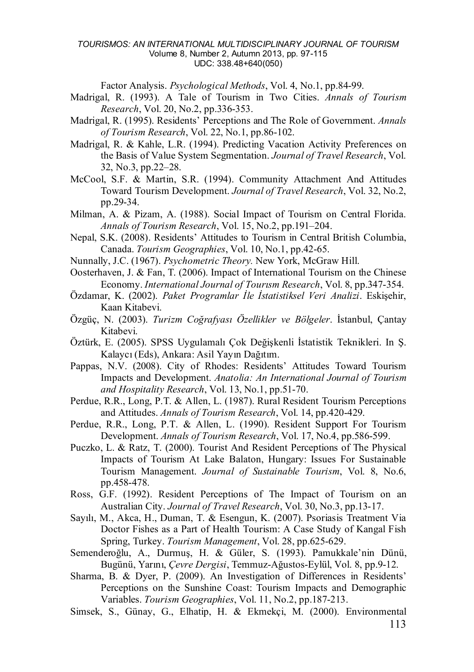Factor Analysis. *Psychological Methods*, Vol. 4, No.1, pp.84-99.

- Madrigal, R. (1993). A Tale of Tourism in Two Cities. *Annals of Tourism Research*, Vol. 20, No.2, pp.336-353.
- Madrigal, R. (1995). Residents' Perceptions and The Role of Government. *Annals of Tourism Research*, Vol. 22, No.1, pp.86-102.
- Madrigal, R. & Kahle, L.R. (1994). Predicting Vacation Activity Preferences on the Basis of Value System Segmentation. *Journal of Travel Research*, Vol. 32, No.3, pp.22–28.
- McCool, S.F. & Martin, S.R. (1994). Community Attachment And Attitudes Toward Tourism Development. *Journal of Travel Research*, Vol. 32, No.2, pp.29-34.
- Milman, A. & Pizam, A. (1988). Social Impact of Tourism on Central Florida. *Annals of Tourism Research*, Vol. 15, No.2, pp.191–204.
- Nepal, S.K. (2008). Residents' Attitudes to Tourism in Central British Columbia, Canada. *Tourism Geographies*, Vol. 10, No.1, pp.42-65.
- Nunnally, J.C. (1967). *Psychometric Theory.* New York, McGraw Hill.
- Oosterhaven, J. & Fan, T. (2006). Impact of International Tourism on the Chinese Economy. *International Journal of Tourısm Research*, Vol. 8, pp.347-354.
- Özdamar, K. (2002). *Paket Programlar İle İstatistiksel Veri Analizi*. Eskişehir, Kaan Kitabevi.
- Özgüç, N. (2003). *Turizm Coğrafyası Özellikler ve Bölgeler*. İstanbul, Çantay Kitabevi.
- Öztürk, E. (2005). SPSS Uygulamalı Çok Değişkenli İstatistik Teknikleri. In Ş. Kalaycı (Eds), Ankara: Asil Yayın Dağıtım.
- Pappas, N.V. (2008). City of Rhodes: Residents' Attitudes Toward Tourism Impacts and Development. *Anatolia: An International Journal of Tourism and Hospitality Research*, Vol. 13, No.1, pp.51-70.
- Perdue, R.R., Long, P.T. & Allen, L. (1987). Rural Resident Tourism Perceptions and Attitudes. *Annals of Tourism Research*, Vol. 14, pp.420-429.
- Perdue, R.R., Long, P.T. & Allen, L. (1990). Resident Support For Tourism Development. *Annals of Tourism Research*, Vol. 17, No.4, pp.586-599.
- Puczko, L. & Ratz, T. (2000). Tourist And Resident Perceptions of The Physical Impacts of Tourism At Lake Balaton, Hungary: Issues For Sustainable Tourism Management. *Journal of Sustainable Tourism*, Vol. 8, No.6, pp.458-478.
- Ross, G.F. (1992). Resident Perceptions of The Impact of Tourism on an Australian City. *Journal of Travel Research*, Vol. 30, No.3, pp.13-17.
- Sayılı, M., Akca, H., Duman, T. & Esengun, K. (2007). Psoriasis Treatment Via Doctor Fishes as a Part of Health Tourism: A Case Study of Kangal Fish Spring, Turkey. *Tourism Management*, Vol. 28, pp.625-629.
- Semenderoğlu, A., Durmuş, H. & Güler, S. (1993). Pamukkale'nin Dünü, Bugünü, Yarını, *Çevre Dergisi*, Temmuz-Ağustos-Eylül, Vol. 8, pp.9-12.
- Sharma, B. & Dyer, P. (2009). An Investigation of Differences in Residents' Perceptions on the Sunshine Coast: Tourism Impacts and Demographic Variables. *Tourism Geographies*, Vol. 11, No.2, pp.187-213.
- Simsek, S., Günay, G., Elhatip, H. & Ekmekçi, M. (2000). Environmental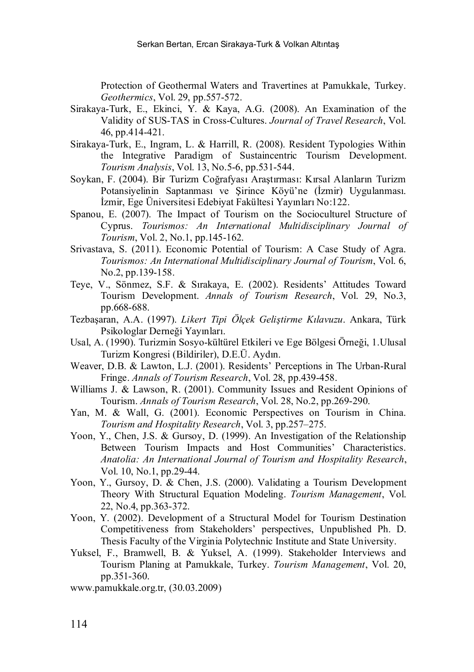Protection of Geothermal Waters and Travertines at Pamukkale, Turkey. *Geothermics*, Vol. 29, pp.557-572.

- Sirakaya-Turk, E., Ekinci, Y. & Kaya, A.G. (2008). An Examination of the Validity of SUS-TAS in Cross-Cultures. *Journal of Travel Research*, Vol. 46, pp.414-421.
- Sirakaya-Turk, E., Ingram, L. & Harrill, R. (2008). Resident Typologies Within the Integrative Paradigm of Sustaincentric Tourism Development. *Tourism Analysis*, Vol. 13, No.5-6, pp.531-544.
- Soykan, F. (2004). Bir Turizm Coğrafyası Araştırması: Kırsal Alanların Turizm Potansiyelinin Saptanması ve Şirince Köyü'ne (İzmir) Uygulanması. İzmir, Ege Üniversitesi Edebiyat Fakültesi Yayınları No:122.
- Spanou, E. (2007). The Impact of Tourism on the Socioculturel Structure of Cyprus. *Tourismos: An International Multidisciplinary Journal of Tourism*, Vol. 2, No.1, pp.145-162.
- Srivastava, S. (2011). Economic Potential of Tourism: A Case Study of Agra. *Tourismos: An International Multidisciplinary Journal of Tourism*, Vol. 6, No.2, pp.139-158.
- Teye, V., Sönmez, S.F. & Sırakaya, E. (2002). Residents' Attitudes Toward Tourism Development. *Annals of Tourism Research*, Vol. 29, No.3, pp.668-688.
- Tezbaşaran, A.A. (1997). *Likert Tipi Ölçek Geliştirme Kılavuzu*. Ankara, Türk Psikologlar Derneği Yayınları.
- Usal, A. (1990). Turizmin Sosyo-kültürel Etkileri ve Ege Bölgesi Örneği, 1.Ulusal Turizm Kongresi (Bildiriler), D.E.Ü. Aydın.
- Weaver, D.B. & Lawton, L.J. (2001). Residents' Perceptions in The Urban-Rural Fringe. *Annals of Tourism Research*, Vol. 28, pp.439-458.
- Williams J. & Lawson, R. (2001). Community Issues and Resident Opinions of Tourism. *Annals of Tourism Research*, Vol. 28, No.2, pp.269-290.
- Yan, M. & Wall, G. (2001). Economic Perspectives on Tourism in China. *Tourism and Hospitality Research*, Vol. 3, pp.257–275.
- Yoon, Y., Chen, J.S. & Gursoy, D. (1999). An Investigation of the Relationship Between Tourism Impacts and Host Communities' Characteristics. *Anatolia: An International Journal of Tourism and Hospitality Research*, Vol. 10, No.1, pp.29-44.
- Yoon, Y., Gursoy, D. & Chen, J.S. (2000). Validating a Tourism Development Theory With Structural Equation Modeling. *Tourism Management*, Vol. 22, No.4, pp.363-372.
- Yoon, Y. (2002). Development of a Structural Model for Tourism Destination Competitiveness from Stakeholders' perspectives, Unpublished Ph. D. Thesis Faculty of the Virginia Polytechnic Institute and State University.
- Yuksel, F., Bramwell, B. & Yuksel, A. (1999). Stakeholder Interviews and Tourism Planing at Pamukkale, Turkey. *Tourism Management*, Vol. 20, pp.351-360.

www.pamukkale.org.tr, (30.03.2009)